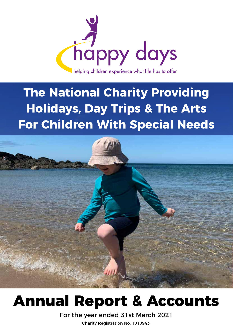

## **The National Charity Providing Holidays, Day Trips & The Arts For Children With Special Needs**



## **Annual Report & Accounts**

For the year ended 31st March 2021 Charity Registration No. 1010943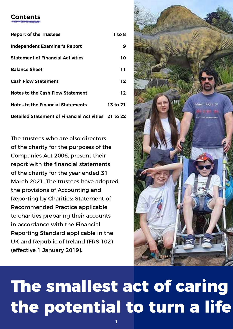### **Contents**

| <b>Report of the Trustees</b>                       | 1 to 8   |
|-----------------------------------------------------|----------|
| <b>Independent Examiner's Report</b>                | 9        |
| <b>Statement of Financial Activities</b>            | 10       |
| <b>Balance Sheet</b>                                | 11.      |
| <b>Cash Flow Statement</b>                          | 12       |
| <b>Notes to the Cash Flow Statement</b>             | 12       |
| <b>Notes to the Financial Statements</b>            | 13 to 21 |
| Detailed Statement of Financial Activities 21 to 22 |          |

The trustees who are also directors of the charity for the purposes of the Companies Act 2006, present their report with the financial statements of the charity for the year ended 31 March 2021. The trustees have adopted the provisions of Accounting and Reporting by Charities: Statement of Recommended Practice applicable to charities preparing their accounts in accordance with the Financial Reporting Standard applicable in the UK and Republic of Ireland (FRS 102) (effective 1 January 2019).



## **The smallest act of caring the potential to turn a life**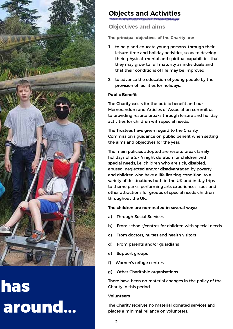

## **has** around...

### **Objects and Activities**

**Objectives and aims**

**The principal objectives of the Charity are:**

- 1. to help and educate young persons, through their leisure-time and holiday activities, so as to develop their physical, mental and spiritual capabilities that they may grow to full maturity as individuals and that their conditions of life may be improved.
- 2. to advance the education of young people by the provision of facilities for holidays.

#### **Public Benefit**

The Charity exists for the public benefit and our Memorandum and Articles of Association commit us to providing respite breaks through leisure and holiday activities for children with special needs.

The Trustees have given regard to the Charity Commission's guidance on public benefit when setting the aims and objectives for the year.

The main policies adopted are respite break family holidays of a 2 - 4 night duration for children with special needs, i.e. children who are sick, disabled, abused, neglected and/or disadvantaged by poverty and children who have a life limiting condition, to a variety of destinations both in the UK and in day trips to theme parks, performing arts experiences, zoos and other attractions for groups of special needs children throughout the UK.

#### **The children are nominated in several ways:**

- a) Through Social Services
- b) From schools/centres for children with special needs
- c) From doctors, nurses and health visitors
- d) From parents and/or guardians
- e) Support groups
- f) Women's refuge centres
- g) Other Charitable organisations

There have been no material changes in the policy of the Charity in this period.

#### **Volunteers**

The Charity receives no material donated services and places a minimal reliance on volunteers.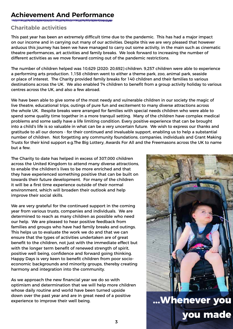### **Achievement And Performance**

#### **Charitable activities**

This past year has been an extremely difficult time due to the pandemic. This has had a major impact on our income and in carrying out many of our activities. Despite this we are very pleased that however arduous this journey has been we have managed to carry out some activity, in the main such as cinematic theatre performances, art activities and family breaks. We look forward to increasing the number of different activities as we move forward coming out of the pandemic restrictions.

The number of children helped was 10,629 (2020: 20,692) children. 9,257 children were able to experience a performing arts production. 1,158 children went to either a theme park, zoo, animal park, seaside or place of interest. The Charity provided family breaks for 140 children and their families to various destinations across the UK. We also enabled 74 children to benefit from a group activity holiday to various centres across the UK, and also a few abroad.

We have been able to give some of the most needy and vulnerable children in our society the magic of live theatre, educational trips, outings of pure fun and excitement to many diverse attractions across the whole UK. Respite breaks were arranged for families with special needs children who were able to spend some quality time together in a more tranquil setting. Many of the children have complex medical problems and some sadly have a life limiting condition. Every positive experience that can be brought into a child's life is so valuable in what can be a very uncertain future. We wish to express our thanks and gratitude to all our donors - for their continued and invaluable support, enabling us to help a substantial number of children. Not forgetting any community foundations, companies, individuals and Grant Making Trusts for their kind support e.g.The Big Lottery, Awards For All and the Freemasons across the UK to name but a few.

The Charity to date has helped in excess of 307,000 children across the United Kingdom to attend many diverse attractions, to enable the children's lives to be more enriched and that they have experienced something positive that can be built on towards their future development. For many of the children it will be a first time experience outside of their normal environment, which will broaden their outlook and help improve their social skills.

We are very grateful for the continued support in the coming year from various trusts, companies and individuals. We are determined to reach as many children as possible who need our help. We are pleased to hear positive feedback from families and groups who have had family breaks and outings. This helps us to evaluate the work we do and that we can ensure that the types of activities undertaken are of great benefit to the children, not just with the immediate effect but with the longer term benefit of renewed strength of spirit, positive well being, confidence and forward going thinking. Happy Days is very keen to benefit children from poor socioeconomic backgrounds and minority groups, thereby creating harmony and integration into the community.

As we approach the new financial year we do so with optimism and determination that we will help more children whose daily routine and world have been turned upside down over the past year and are in great need of a positive experience to improve their well being.

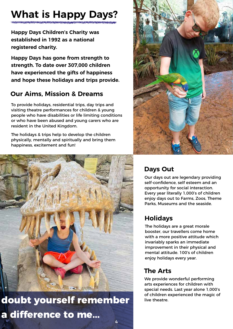## **What is Happy Days?**

**Happy Days Children's Charity was established in 1992 as a national registered charity.**

**Happy Days has gone from strength to strength. To date over 307,000 children have experienced the gifts of happiness and hope these holidays and trips provide.**

### **Our Aims, Mission & Dreams**

To provide holidays, residential trips, day trips and visiting theatre performances for children & young people who have disabilities or life limiting conditions or who have been abused and young carers who are resident in the United Kingdom.

The holidays & trips help to develop the children physically, mentally and spiritually and bring them happiness, excitement and fun!



doubt yourself remember live theatre. **a difference to me...** 



### **Days Out**

Our days out are legendary providing self-confidence, self esteem and an opportunity for social interaction. Every year literally 1,000's of children enjoy days out to Farms, Zoos, Theme Parks, Museums and the seaside.

### **Holidays**

The holidays are a great morale booster, our travellers come home with a more positive attitude which invariably sparks an immediate improvement in their physical and mental attitude. 100's of children enjoy holidays every year.

### **The Arts**

We provide wonderful performing arts experiences for children with special needs. Last year alone 1,000's of children experienced the magic of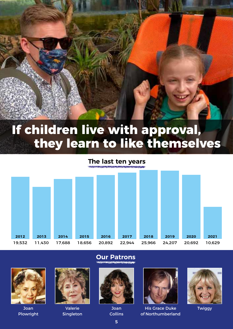

## **If children live with approval, they learn to like themselves**

### **The last ten years**





Joan Plowright



Valerie Singleton

**Our Patrons**



Joan Collins



His Grace Duke of Northumberland



**Twiggy**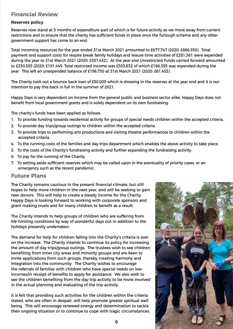#### **Financial Review**

#### **Reserves policy**

Reserves now stand at 5 months of expenditure part of which is for future activity as we move away from current restrictions and to ensure that the charity has sufficient funds in place once the furlough scheme and any other government support has come to an end.

Total incoming resources for the year ended 31st March 2021 amounted to £677,747 (2020: £886,350). Total payment and support costs for respite break family holidays and leisure time activities of £281,361 were expended during the year to 31st March 2021 (2020: £551,432). At the year end Unrestricted Funds carried forward amounted to £230,593 (2020: £191,445. Total restricted income was £303,632 of which £168,355 was expended during the year. This left an unexpended balance of £196,730 at 31st March 2021 (2020: £61,453).

The Charity took out a bounce back loan of £50,000 which is showing in the reserves at the year end and it is our intention to pay this back in full in the summer of 2021.

Happy Days is very dependent on income from the general public and business sector alike. Happy Days does not benefit from local government grants and is solely dependent on its own fundraising.

The charity's funds have been applied as follows:

- 1. To provide funding towards residential activity for groups of special needs children within the accepted criteria.
- 2. To provide day trips/group outings to children within the accepted criteria.
- 3. To provide trips to performing arts productions and visiting theatre performances to children within the accepted criteria.
- 4. To the running costs of the families and day trips department which enables the above activity to take place.
- 5. To the costs of the Charity's fundraising activity and further expanding the fundraising activity.
- 6. To pay for the running of the Charity.
- 7. To setting aside sufficient reserves which may be called upon in the eventuality of priority cases, or an emergency such as the recent pandemic.

#### **Future Plans**

The Charity remains cautious in the present financial climate, but still hopes to help more children in the next year, and will be seeking to gain new donors. This will help to create a steady income for the Charity. Happy Days is looking forward to working with corporate sponsors and grant making trusts and for many children to benefit as a result.

The Charity intends to help groups of children who are suffering from life-limiting conditions by way of wonderful days out in addition to the holidays presently undertaken.

The demand for help for children falling into the Charity's criteria is ever on the increase. The Charity intends to continue its policy for increasing the amount of day trips/group outings. The trustees wish to see children benefiting from inner city areas and minority groups and are keen to invite applications from such groups, thereby creating harmony and integration into the community. The Charity wishes to encourage the referrals of families with children who have special needs on low incomes/in receipt of benefits to apply for assistance. We also wish to see the children benefiting from the day trip activity to be more involved in the actual planning and evaluating of the trip activity.

It is felt that providing such activities for the children within the criteria stated, who are often in despair, will help promote greater spiritual well being. This will encourage renewed energy and determination to tackle their ongoing situation or to continue to cope with tragic circumstances.

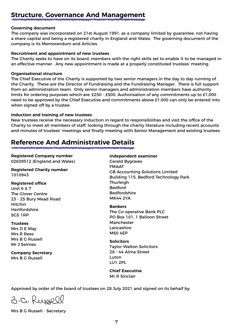### **Structure, Governance And Management**

#### **Governing document**

The company was incorporated on 21st August 1991, as a company limited by guarantee, not having a share capital and being a registered charity in England and Wales. The governing document of the company is its Memorandum and Articles.

#### **Recruitment and appointment of new trustees**

The Charity seeks to have on its board, members with the right skills set to enable it to be managed in an effective manner. Any new appointment is made at a properly constituted trustees' meeting.

#### **Organisational structure**

The Chief Executive of the Charity is supported by two senior managers in the day to day running of the Charity. These are the Director of Fundraising and the Fundraising Manager. There is full support from an administration team. Only senior managers and administration members have authority limits for ordering purposes which are: £250 - £500. Authorisation of any commitments up to £1,000 need to be approved by the Chief Executive and commitments above £1,000 can only be entered into when signed off by a trustee.

#### **Induction and training of new trustees**

New trustees receive the necessary induction in regard to responsibilities and visit the office of the Charity to meet all members of staff, looking through the charity literature including recent accounts and minutes of trustees' meetings and finally meeting with Senior Management and existing trustees.

### **Reference And Administrative Details**

#### **Registered Company number**

02639512 (England and Wales)

**Registered Charity number** 1010943

#### **Registered office** Unit 6 & 7 The Glover Centre 23 - 25 Bury Mead Road Hitchin Hertfordshire SG5 1RP

#### **Trustees**

Mrs D E May Mrs R Rees Mrs B G Russell Mr J Selmes

**Company Secretary** Mrs B G Russell

**Independent examiner** Gerald Bygraves FMAAT GB Accounting Solutions Limited Building 115, Bedford Technology Park Thurleigh Bedford Bedfordshire MK44 2YA

**Bankers** The Co-operative Bank PLC PO Box 101, 1 Balloon Street Manchester Lancashire M60 4EP

**Solicitors** Taylor Walton Solicitors 28 - 44 Alma Street Luton LU1 2PL

**Chief Executive** Mr R Sinclair

Approved by order of the board of trustees on 28 July 2021 and signed on its behalf by:

3-C. Russell

Mrs B G Russell - Secretary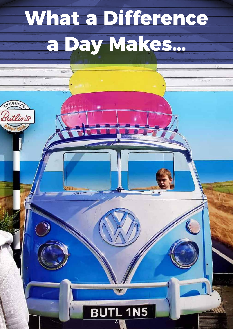# **What a Difference a Day Makes…**

itlin's

#### $.1N5$ Bl 8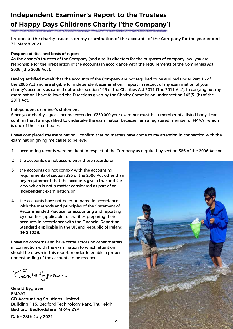### **Independent Examiner's Report to the Trustees of Happy Days Childrens Charity ('the Company')**

I report to the charity trustees on my examination of the accounts of the Company for the year ended 31 March 2021.

#### **Responsibilities and basis of report**

As the charity's trustees of the Company (and also its directors for the purposes of company law) you are responsible for the preparation of the accounts in accordance with the requirements of the Companies Act 2006 ('the 2006 Act').

Having satisfied myself that the accounts of the Company are not required to be audited under Part 16 of the 2006 Act and are eligible for independent examination, I report in respect of my examination of your charity's accounts as carried out under section 145 of the Charities Act 2011 ('the 2011 Act'). In carrying out my examination I have followed the Directions given by the Charity Commission under section 145(5) (b) of the 2011 Act.

#### **Independent examiner's statement**

Since your charity's gross income exceeded £250,000 your examiner must be a member of a listed body. I can confirm that I am qualified to undertake the examination because I am a registered member of FMAAT which is one of the listed bodies.

I have completed my examination. I confirm that no matters have come to my attention in connection with the examination giving me cause to believe:

- 1. accounting records were not kept in respect of the Company as required by section 386 of the 2006 Act; or
- 2. the accounts do not accord with those records; or
- 3. the accounts do not comply with the accounting requirements of section 396 of the 2006 Act other than any requirement that the accounts give a true and fair view which is not a matter considered as part of an independent examination; or
- 4. the accounts have not been prepared in accordance with the methods and principles of the Statement of Recommended Practice for accounting and reporting by charities (applicable to charities preparing their accounts in accordance with the Financial Reporting Standard applicable in the UK and Republic of Ireland (FRS 102)).

I have no concerns and have come across no other matters in connection with the examination to which attention should be drawn in this report in order to enable a proper understanding of the accounts to be reached.

Cerald Sygramer

Gerald Bygraves FMAAT GB Accounting Solutions Limited Building 115, Bedford Technology Park, Thurleigh Bedford, Bedfordshire MK44 2YA

Date: 28th July 2021



9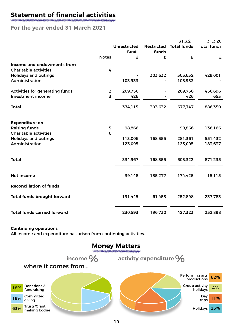### **Statement of financial activities**

#### **For the year ended 31 March 2021**

|                                    |                |                              |                            | 31.3.21            | 31.3.20            |
|------------------------------------|----------------|------------------------------|----------------------------|--------------------|--------------------|
|                                    |                | <b>Unrestricted</b><br>funds | <b>Restricted</b><br>funds | <b>Total funds</b> | <b>Total funds</b> |
|                                    | <b>Notes</b>   | £                            | £                          | £                  | £                  |
| Income and endowments from         |                |                              |                            |                    |                    |
| <b>Charitable activities</b>       | 4              |                              |                            |                    |                    |
| <b>Holidays and outings</b>        |                |                              | 303,632                    | 303,632            | 429,001            |
| Administration                     |                | 103,933                      |                            | 103,933            |                    |
| Activities for generating funds    | $\overline{2}$ | 269,756                      |                            | 269,756            | 456,696            |
| Investment income                  | $\overline{3}$ | 426                          |                            | 426                | 653                |
| <b>Total</b>                       |                | 374,115                      | 303,632                    | 677,747            | 886,350            |
| <b>Expenditure on</b>              |                |                              |                            |                    |                    |
| Raising funds                      | 5              | 98,866                       |                            | 98,866             | 136,166            |
| <b>Charitable activities</b>       | 6              |                              |                            |                    |                    |
| <b>Holidays and outings</b>        |                | 113,006                      | 168,355                    | 281,361            | 551,432            |
| Administration                     |                | 123,095                      |                            | 123,095            | 183,637            |
|                                    |                |                              |                            |                    |                    |
| <b>Total</b>                       |                | 334,967                      | 168,355                    | 503,322            | 871,235            |
| <b>Net income</b>                  |                | 39,148                       | 135,277                    | 174,425            | 15,115             |
| <b>Reconciliation of funds</b>     |                |                              |                            |                    |                    |
| <b>Total funds brought forward</b> |                | 191,445                      | 61,453                     | 252,898            | 237,783            |
| <b>Total funds carried forward</b> |                | 230,593                      | 196,730                    | 427,323            | 252,898            |
|                                    |                |                              |                            |                    |                    |

#### **Continuing operations**

All income and expenditure has arisen from continuing activities.

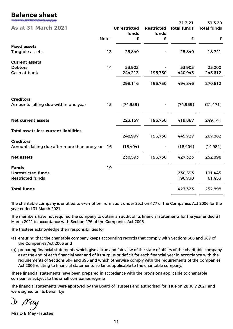### **Balance sheet**

|                                                                  |              |                     |                   | 31.3.21            | 31.3.20            |
|------------------------------------------------------------------|--------------|---------------------|-------------------|--------------------|--------------------|
| <b>As at 31 March 2021</b>                                       |              | <b>Unrestricted</b> | <b>Restricted</b> | <b>Total funds</b> | <b>Total funds</b> |
|                                                                  |              | funds               | funds             |                    |                    |
|                                                                  | <b>Notes</b> | £                   | £                 | £                  | £                  |
| <b>Fixed assets</b>                                              |              |                     |                   |                    |                    |
| Tangible assets                                                  | 13           | 25,840              |                   | 25,840             | 18,741             |
| <b>Current assets</b>                                            |              |                     |                   |                    |                    |
| <b>Debtors</b>                                                   | 14           | 53,903              |                   | 53,903             | 25,000             |
| Cash at bank                                                     |              | 244,213             | 196,730           | 440,943            | 245,612            |
|                                                                  |              | 298,116             | 196,730           | 494,846            | 270,612            |
| <b>Creditors</b>                                                 |              |                     |                   |                    |                    |
| Amounts falling due within one year                              | 15           | (74, 959)           |                   | (74, 959)          | (21, 471)          |
| <b>Net current assets</b>                                        |              | 223,157             | 196,730           | 419,887            | 249,141            |
| <b>Total assets less current liabilities</b>                     |              |                     |                   |                    |                    |
|                                                                  |              | 248,997             | 196,730           | 445,727            | 267,882            |
| <b>Creditors</b><br>Amounts falling due after more than one year | 16           | (18,404)            |                   | (18,404)           | (14, 984)          |
| <b>Net assets</b>                                                |              | 230,593             | 196,730           | 427,323            | 252,898            |
| <b>Funds</b>                                                     | 19           |                     |                   |                    |                    |
| <b>Unrestricted funds</b>                                        |              |                     |                   | 230,593            | 191,445            |
| <b>Restricted funds</b>                                          |              |                     |                   | 196,730            | 61,453             |
| <b>Total funds</b>                                               |              |                     |                   | 427,323            | 252,898            |

The charitable company is entitled to exemption from audit under Section 477 of the Companies Act 2006 for the year ended 31 March 2021.

The members have not required the company to obtain an audit of its financial statements for the year ended 31 March 2021 in accordance with Section 476 of the Companies Act 2006.

The trustees acknowledge their responsibilities for

- (a) ensuring that the charitable company keeps accounting records that comply with Sections 386 and 387 of the Companies Act 2006 and
- (b) preparing financial statements which give a true and fair view of the state of affairs of the charitable company as at the end of each financial year and of its surplus or deficit for each financial year in accordance with the requirements of Sections 394 and 395 and which otherwise comply with the requirements of the Companies Act 2006 relating to financial statements, so far as applicable to the charitable company.

These financial statements have been prepared in accordance with the provisions applicable to charitable companies subject to the small companies regime.

The financial statements were approved by the Board of Trustees and authorised for issue on 28 July 2021 and were signed on its behalf by:

Mrs D E May -Trustee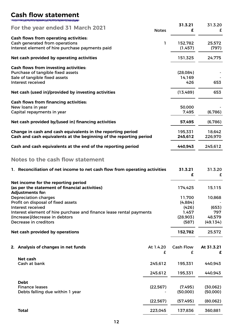### **Cash flow statement**

| For the year ended 31 March 2021                                               | <b>Notes</b> | 31.3.21<br>£ | 31.3.20<br>£ |
|--------------------------------------------------------------------------------|--------------|--------------|--------------|
| <b>Cash flows from operating activities:</b><br>Cash generated from operations | ı            | 152,782      | 25,572       |
| Interest element of hire purchase payments paid                                |              | (1,457)      | (797)        |
| Net cash provided by operating activities                                      |              | 151,325      | 24,775       |
| <b>Cash flows from investing activities:</b>                                   |              |              |              |
| Purchase of tangible fixed assets                                              |              | (28,084)     |              |
| Sale of tangible fixed assets                                                  |              | 14,169       |              |
| Interest received                                                              |              | 426          | 653          |
| Net cash (used in)/provided by investing activities                            |              | (13,489)     | 653          |
| <b>Cash flows from financing activities:</b>                                   |              |              |              |
| New loans in year                                                              |              | 50,000       |              |
| Capital repayments in year                                                     |              | 7,495        | (6,786)      |
| Net cash provided by/(used in) financing activities                            |              | 57,495       | (6,786)      |
| Change in cash and cash equivalents in the reporting period                    |              | 195,331      | 18,642       |
| Cash and cash equivalents at the beginning of the reporting period             |              | 245,612      | 226,970      |
| Cash and cash equivalents at the end of the reporting period                   |              | 440,943      | 245,612      |
| Natos te the sask flour statement                                              |              |              |              |

#### **Notes to the cash flow statement**

| 1. Reconciliation of net income to net cash flow from operating activities |           | 31.3.21<br>£     | 31.3.20<br>£ |
|----------------------------------------------------------------------------|-----------|------------------|--------------|
| Net income for the reporting period                                        |           | 174,425          |              |
| (as per the statement of financial activities)<br><b>Adjustments for:</b>  |           |                  | 15,115       |
| <b>Depreciation charges</b>                                                |           | 11,700           | 10,868       |
| Profit on disposal of fixed assets                                         |           | (4,884)          |              |
| Interest received                                                          |           | (426)            | (653)        |
| Interest element of hire purchase and finance lease rental payments        |           | 1,457            | 797          |
| (Increase)/decrease in debtors                                             |           | (28,903)         | 48,579       |
| Decrease in creditors                                                      |           | (587)            | (49, 134)    |
| Net cash provided by operations                                            |           | 152,782          | 25,572       |
| 2. Analysis of changes in net funds                                        | At 1.4.20 | <b>Cash Flow</b> | At 31.3.21   |
|                                                                            | £         | £                | £            |
| <b>Net cash</b>                                                            |           |                  |              |
| Cash at bank                                                               | 245,612   | 195,331          | 440,943      |
|                                                                            | 245,612   | 195,331          | 440,943      |
| <b>Debt</b>                                                                |           |                  |              |
| <b>Finance leases</b>                                                      | (22, 567) | (7,495)          | (30,062)     |
| Debts falling due within 1 year                                            |           | (50,000)         | (50,000)     |
|                                                                            | (22, 567) | (57, 495)        | (80,062)     |
| <b>Total</b>                                                               | 223,045   | 137,836          | 360,881      |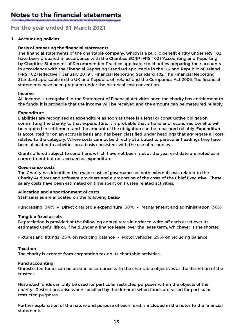### **Notes to the financial statements**

**For the year ended 31 March 2021**

#### **1. Accounting policies**

#### **Basis of preparing the financial statements**

The financial statements of the charitable company, which is a public benefit entity under FRS 102, have been prepared in accordance with the Charities SORP (FRS 102) 'Accounting and Reporting by Charities: Statement of Recommended Practice applicable to charities preparing their accounts in accordance with the Financial Reporting Standard applicable in the UK and Republic of Ireland (FRS 102) (effective 1 January 2019)', Financial Reporting Standard 102 'The Financial Reporting Standard applicable in the UK and Republic of Ireland' and the Companies Act 2006. The financial statements have been prepared under the historical cost convention.

#### **Income**

All income is recognised in the Statement of Financial Activities once the charity has entitlement to the funds, it is probable that the income will be received and the amount can be measured reliably.

#### **Expenditure**

Liabilities are recognised as expenditure as soon as there is a legal or constructive obligation committing the charity to that expenditure, it is probable that a transfer of economic benefits will be required in settlement and the amount of the obligation can be measured reliably. Expenditure is accounted for on an accruals basis and has been classified under headings that aggregate all cost related to the category. Where costs cannot be directly attributed to particular headings they have been allocated to activities on a basis consistent with the use of resources.

Grants offered subject to conditions which have not been met at the year end date are noted as a commitment but not accrued as expenditure.

#### **Governance costs**

The Charity has identified the major costs of governance as both external costs related to the Charity Auditors and software providers and a proportion of the costs of the Chief Executive. These salary costs have been estimated on time spent on trustee related activities.

#### **Allocation and apportionment of costs**

Staff salaries are allocated on the following basis:-

Fundraising **34%** • Direct charitable expenditure **30%** • Management and administration **36%**

#### **Tangible fixed assets**

Depreciation is provided at the following annual rates in order to write off each asset over its estimated useful life or, if held under a finance lease, over the lease term, whichever is the shorter.

Fixtures and fittings **25%** on reducing balance • Motor vehicles **25%** on reducing balance

#### **Taxation**

The charity is exempt from corporation tax on its charitable activities.

#### **Fund accounting**

Unrestricted funds can be used in accordance with the charitable objectives at the discretion of the trustees.

Restricted funds can only be used for particular restricted purposes within the objects of the charity. Restrictions arise when specified by the donor or when funds are raised for particular restricted purposes.

Further explanation of the nature and purpose of each fund is included in the notes to the financial statements.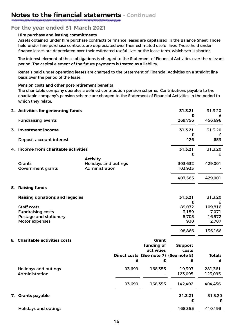#### **For the year ended 31 March 2021**

#### **Hire purchase and leasing commitments**

Assets obtained under hire purchase contracts or finance leases are capitalised in the Balance Sheet. Those held under hire purchase contracts are depreciated over their estimated useful lives. Those held under finance leases are depreciated over their estimated useful lives or the lease term, whichever is shorter.

The interest element of these obligations is charged to the Statement of Financial Activities over the relevant period. The capital element of the future payments is treated as a liability.

Rentals paid under operating leases are charged to the Statement of Financial Activities on a straight line basis over the period of the lease.

#### **Pension costs and other post-retirement benefits**

The charitable company operates a defined contribution pension scheme. Contributions payable to the charitable company's pension scheme are charged to the Statement of Financial Activities in the period to which they relate.

|    | 2. Activities for generating funds        |                                               |        |                                        | 31.3.21<br>£       | 31.3.20<br>£  |
|----|-------------------------------------------|-----------------------------------------------|--------|----------------------------------------|--------------------|---------------|
|    | <b>Fundraising events</b>                 |                                               |        |                                        | 269,756            | 456,696       |
|    | 3. Investment income                      |                                               |        |                                        | 31.3.21            | 31.3.20       |
|    | Deposit account interest                  |                                               |        |                                        | £<br>426           | 653           |
| 4. | Income from charitable activities         |                                               |        |                                        | 31.3.21            | 31.3.20       |
|    |                                           | <b>Activity</b>                               |        |                                        | £                  | £             |
|    | <b>Grants</b><br><b>Government grants</b> | <b>Holidays and outings</b><br>Administration |        |                                        | 303,632<br>103,933 | 429,001       |
|    |                                           |                                               |        |                                        | 407,565            | 429,001       |
| 5. | <b>Raising funds</b>                      |                                               |        |                                        |                    |               |
|    | <b>Raising donations and legacies</b>     |                                               |        |                                        | 31.3.21            | 31.3.20       |
|    |                                           |                                               |        |                                        | £                  | £             |
|    | <b>Staff costs</b>                        |                                               |        |                                        | 89,072             | 109,816       |
|    | <b>Fundraising costs</b>                  |                                               |        |                                        | 3,159              | 7,071         |
|    | Postage and stationery                    |                                               |        |                                        | 5,705              | 16,572        |
|    | Motor expenses                            |                                               |        |                                        | 930                | 2,707         |
|    |                                           |                                               |        |                                        | 98,866             | 136,166       |
|    | 6. Charitable activities costs            |                                               |        | <b>Grant</b>                           |                    |               |
|    |                                           |                                               |        | funding of                             | <b>Support</b>     |               |
|    |                                           |                                               |        | activities                             | costs              |               |
|    |                                           |                                               |        | Direct costs (See note 7) (See note 8) |                    | <b>Totals</b> |
|    |                                           |                                               | £      | £                                      | £                  | £             |
|    | <b>Holidays and outings</b>               |                                               | 93,699 | 168,355                                | 19,307             | 281,361       |
|    | Administration                            |                                               |        |                                        | 123,095            | 123,095       |
|    |                                           |                                               | 93,699 | 168,355                                | 142,402            | 404,456       |
|    | 7. Grants payable                         |                                               |        |                                        | 31.3.21            | 31.3.20       |
|    |                                           |                                               |        |                                        | £                  | £             |
|    | <b>Holidays and outings</b>               |                                               |        |                                        | 168,355            | 410,193       |
|    |                                           |                                               |        |                                        |                    |               |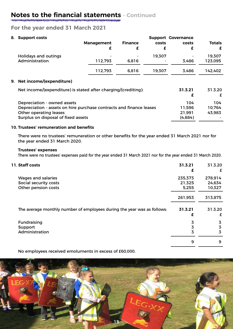#### **For the year ended 31 March 2021**

| 8. Support costs                                                    |                   |                |        | <b>Support Governance</b> |               |
|---------------------------------------------------------------------|-------------------|----------------|--------|---------------------------|---------------|
|                                                                     | <b>Management</b> | <b>Finance</b> | costs  | costs                     | <b>Totals</b> |
|                                                                     | £                 | £              | £      | £                         | £             |
| <b>Holidays and outings</b>                                         |                   |                | 19,307 |                           | 19,307        |
| Administration                                                      | 112,793           | 6,816          |        | 3.486                     | 123,095       |
|                                                                     | 112,793           | 6,816          | 19,307 | 3,486                     | 142,402       |
| 9. Net income/(expenditure)                                         |                   |                |        |                           |               |
| Net income/(expenditure) is stated after charging/(crediting):      |                   |                |        | 31.3.21                   | 31.3.20       |
|                                                                     |                   |                |        | £                         | £             |
| Depreciation - owned assets                                         |                   |                |        | 104                       | 104           |
| Depreciation - assets on hire purchase contracts and finance leases |                   |                |        | 11,596                    | 10,764        |
| Other operating leases                                              |                   |                |        | 21,991                    | 43,983        |
| Surplus on disposal of fixed assets                                 |                   |                |        | (4,884)                   |               |
|                                                                     |                   |                |        |                           |               |

#### **10. Trustees' remuneration and benefits**

There were no trustees' remuneration or other benefits for the year ended 31 March 2021 nor for the year ended 31 March 2020.

#### **Trustees' expenses**

There were no trustees' expenses paid for the year ended 31 March 2021 nor for the year ended 31 March 2020.

| 11. Staff costs                                                         | 31.3.21<br>£    | 31.3.20<br>£     |
|-------------------------------------------------------------------------|-----------------|------------------|
| <b>Wages and salaries</b>                                               | 235,373         | 278,914          |
| Social security costs<br>Other pension costs                            | 21,325<br>5,255 | 24,634<br>10,327 |
|                                                                         |                 |                  |
|                                                                         | 261,953         | 313,875          |
| The average monthly number of employees during the year was as follows: | 31.3.21         | 31.3.20          |
|                                                                         | £               | £                |
| Fundraising                                                             | 3               | 3                |
| Support                                                                 | 3               | 3                |
| Administration                                                          | 3               | 3                |
|                                                                         | 9               | 9                |

No employees received emoluments in excess of £60,000.

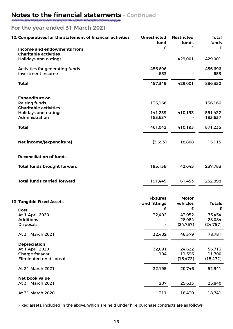#### **For the year ended 31 March 2021**

| 12. Comparatives for the statement of financial activities  | <b>Unrestricted</b><br>fund     | <b>Restricted</b><br>funds | <b>Total</b><br>funds |
|-------------------------------------------------------------|---------------------------------|----------------------------|-----------------------|
| Income and endowments from                                  | £                               | £                          | £                     |
| <b>Charitable activities</b><br><b>Holidays and outings</b> |                                 | 429,001                    | 429,001               |
| Activities for generating funds<br>Investment income        | 456,696<br>653                  |                            | 456,696<br>653        |
| <b>Total</b>                                                | 457,349                         | 429,001                    | 886,350               |
| <b>Expenditure on</b>                                       |                                 |                            |                       |
| <b>Raising funds</b><br><b>Charitable activities</b>        | 136,166                         |                            | 136,166               |
| <b>Holidays and outings</b>                                 | 141,239                         | 410,193                    | 551,432               |
| Administration                                              | 183,637                         |                            | 183,637               |
| <b>Total</b>                                                | 461,042                         | 410,193                    | 871,235               |
| Net income/(expenditure)                                    | (3,693)                         | 18,808                     | 15,115                |
| <b>Reconciliation of funds</b>                              |                                 |                            |                       |
| <b>Total funds brought forward</b>                          | 195,138                         | 42,645                     | 237,783               |
| <b>Total funds carried forward</b>                          | 191,445                         | 61,453                     | 252,898               |
| <b>13. Tangible Fixed Assets</b>                            | <b>Fixtures</b><br>and fittings | <b>Motor</b><br>vehicles   | <b>Totals</b>         |
| Cost<br><b>At 1 April 2020</b>                              | £<br>32,402                     | £<br>43,052                | £<br>75,454           |
| <b>Additions</b>                                            |                                 | 28,084                     | 28,084                |
| <b>Disposals</b>                                            |                                 | (24, 757)                  | (24, 757)             |
| At 31 March 2021                                            | 32,402                          | 46,379                     | 78,781                |
| <b>Depreciation</b><br>At 1 April 2020                      | 32,091                          | 24,622                     | 56,713                |
| Charge for year                                             | 104                             | 11,596                     | 11,700                |
| <b>Eliminated on disposal</b>                               |                                 | (15, 472)                  | (15, 472)             |
| At 31 March 2021                                            | 32,195                          | 20,746                     | 52,941                |
| Net book value                                              |                                 |                            |                       |
| At 31 March 2021                                            | 207                             | 25,633                     | 25,840                |
| At 31 March 2020                                            | 311                             | 18,430                     | 18,741                |

Fixed assets, included in the above, which are held under hire purchase contracts are as follows: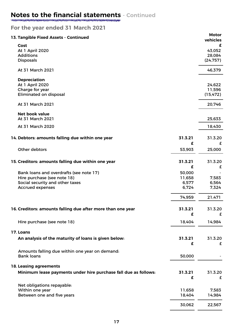#### **For the year ended 31 March 2021**

| 13. Tangible Fixed Assets - Continued                           |              | <b>Motor</b><br>vehicles |
|-----------------------------------------------------------------|--------------|--------------------------|
| Cost                                                            |              | £                        |
| <b>At 1 April 2020</b>                                          |              | 43,052                   |
| <b>Additions</b>                                                |              | 28,084                   |
| <b>Disposals</b>                                                |              | (24, 757)                |
| At 31 March 2021                                                |              | 46,379                   |
| <b>Depreciation</b>                                             |              |                          |
| <b>At 1 April 2020</b>                                          |              | 24,622                   |
| Charge for year<br><b>Eliminated on disposal</b>                |              | 11,596<br>(15, 472)      |
| At 31 March 2021                                                |              | 20,746                   |
|                                                                 |              |                          |
| Net book value<br>At 31 March 2021                              |              | 25,633                   |
| At 31 March 2020                                                |              | 18,430                   |
| 14. Debtors: amounts falling due within one year                | 31.3.21      | 31.3.20                  |
|                                                                 | £            | £                        |
| Other debtors                                                   | 53,903       | 25,000                   |
| 15. Creditors: amounts falling due within one year              | 31.3.21      | 31.3.20                  |
|                                                                 | £            | £                        |
| Bank loans and overdrafts (see note 17)                         | 50,000       |                          |
| Hire purchase (see note 18)                                     | 11,658       | 7,583                    |
| Social security and other taxes                                 | 6,577        | 6,564                    |
| <b>Accrued expenses</b>                                         | 6,724        | 7,324                    |
|                                                                 | 74,959       | 21,471                   |
| 16. Creditors: amounts falling due after more than one year     | 31.3.21      | 31.3.20                  |
|                                                                 | £            | £                        |
| Hire purchase (see note 18)                                     | 18,404       | 14,984                   |
|                                                                 |              |                          |
| 17. Loans                                                       |              |                          |
| An analysis of the maturity of loans is given below:            | 31.3.21<br>£ | 31.3.20<br>£             |
| Amounts falling due within one year on demand:                  |              |                          |
| <b>Bank loans</b>                                               | 50,000       |                          |
| <b>18. Leasing agreements</b>                                   |              |                          |
| Minimum lease payments under hire purchase fall due as follows: | 31.3.21      | 31.3.20                  |
|                                                                 | £            | £                        |
| Net obligations repayable:                                      |              |                          |
| Within one year                                                 | 11,658       | 7,583                    |
| Between one and five years                                      | 18,404       | 14,984                   |
|                                                                 | 30,062       | 22,567                   |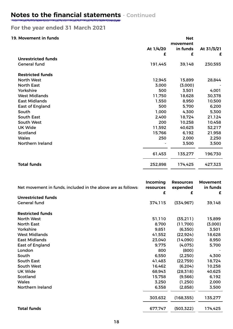#### **For the year ended 31 March 2021**

#### **19. Movement in funds**

| 19. Movement in funds     |           | <b>Net</b><br>movement |            |
|---------------------------|-----------|------------------------|------------|
|                           | At 1/4/20 | in funds               | At 31/3/21 |
|                           | £         | £                      | £          |
| <b>Unrestricted funds</b> |           |                        |            |
| <b>General fund</b>       | 191,445   | 39,148                 | 230,593    |
| <b>Restricted funds</b>   |           |                        |            |
| <b>North West</b>         | 12,945    | 15,899                 | 28,844     |
| <b>North East</b>         | 3,000     | (3,000)                |            |
| Yorkshire                 | 500       | 3,501                  | 4,001      |
| <b>West Midlands</b>      | 11,750    | 18,628                 | 30,378     |
| <b>East Midlands</b>      | 1,550     | 8,950                  | 10,500     |
| <b>East of England</b>    | 500       | 5,700                  | 6,200      |
| South                     | 1,000     | 4,300                  | 5,300      |
| South East                | 2,400     | 18,724                 | 21,124     |
| South West                | 200       | 10,258                 | 10,458     |
| <b>UK Wide</b>            | 11,592    | 40,625                 | 52,217     |
| Scotland                  | 15,766    | 6,192                  | 21,958     |
| <b>Wales</b>              | 250       | 2,000                  | 2,250      |
| Northern Ireland          |           | 3,500                  | 3,500      |
|                           | 61,453    | 135,277                | 196,730    |
| <b>Total funds</b>        | 252,898   | 174,425                | 427,323    |

| Net movement in funds, included in the above are as follows: | <b>Incoming</b><br>resources<br>£ | <b>Resources</b><br>expended<br>£ | <b>Movement</b><br>in funds<br>£ |
|--------------------------------------------------------------|-----------------------------------|-----------------------------------|----------------------------------|
| <b>Unrestricted funds</b>                                    |                                   |                                   |                                  |
| <b>General fund</b>                                          | 374,115                           | (334, 967)                        | 39,148                           |
| <b>Restricted funds</b>                                      |                                   |                                   |                                  |
| <b>North West</b>                                            | 51,110                            | (35,211)                          | 15,899                           |
| <b>North East</b>                                            | 8,700                             | (11,700)                          | (3,000)                          |
| Yorkshire                                                    | 9,851                             | (6,350)                           | 3,501                            |
| <b>West Midlands</b>                                         | 41,552                            | (22, 924)                         | 18,628                           |
| <b>East Midlands</b>                                         | 23,040                            | (14,090)                          | 8,950                            |
| <b>East of England</b>                                       | 9,775                             | (4,075)                           | 5,700                            |
| London                                                       | 800                               | (800)                             |                                  |
| South                                                        | 6,550                             | (2,250)                           | 4,300                            |
| <b>South East</b>                                            | 41,483                            | (22, 759)                         | 18,724                           |
| South West                                                   | 16,462                            | (6, 204)                          | 10,258                           |
| <b>UK Wide</b>                                               | 68,943                            | (28, 318)                         | 40,625                           |
| Scotland                                                     | 15,758                            | (9,566)                           | 6,192                            |
| <b>Wales</b>                                                 | 3,250                             | (1,250)                           | 2,000                            |
| Northern Ireland                                             | 6,358                             | (2,858)                           | 3,500                            |
|                                                              | 303,632                           | (168, 355)                        | 135,277                          |
| <b>Total funds</b>                                           | 677,747                           | (503, 322)                        | 174,425                          |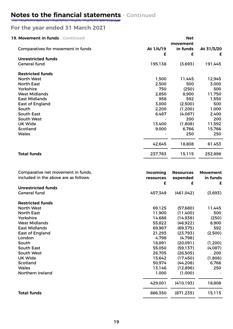#### **For the year ended 31 March 2021**

| 19. Movement in funds - Continued  |                | <b>Net</b><br>movement |                 |
|------------------------------------|----------------|------------------------|-----------------|
| Comparatives for movement in funds | At 1/4/19<br>£ | in funds<br>£          | At 31/3/20<br>£ |
| <b>Unrestricted funds</b>          |                |                        |                 |
| <b>General fund</b>                | 195,138        | (3,693)                | 191,445         |
| <b>Restricted funds</b>            |                |                        |                 |
| North West                         | 1,500          | 11,445                 | 12,945          |
| <b>North East</b>                  | 2,500          | 500                    | 3,000           |
| Yorkshire                          | 750            | (250)                  | 500             |
| <b>West Midlands</b>               | 2,850          | 8,900                  | 11,750          |
| <b>East Midlands</b>               | 958            | 592                    | 1,550           |
| <b>East of England</b>             | 3,000          | (2,500)                | 500             |
| South                              | 2,200          | (1,200)                | 1,000           |
| <b>South East</b>                  | 6,487          | (4,087)                | 2,400           |
| South West                         |                | 200                    | 200             |
| <b>UK Wide</b>                     | 13,400         | (1,808)                | 11,592          |
| Scotland                           | 9,000          | 6,766                  | 15,766          |
| <b>Wales</b>                       |                | 250                    | 250             |
|                                    | 42,645         | 18,808                 | 61,453          |
| <b>Total funds</b>                 | 237,783        | 15,115                 | 252,898         |

| Comparative net movement in funds,<br>included in the above are as follows: | Incoming<br>resources<br>£ | <b>Resources</b><br>expended<br>£ | <b>Movement</b><br>in funds<br>£ |
|-----------------------------------------------------------------------------|----------------------------|-----------------------------------|----------------------------------|
| <b>Unrestricted funds</b>                                                   |                            |                                   |                                  |
| <b>General fund</b>                                                         | 457,349                    | (461, 042)                        | (3,693)                          |
| <b>Restricted funds</b>                                                     |                            |                                   |                                  |
| North West                                                                  | 69,125                     | (57,680)                          | 11,445                           |
| <b>North East</b>                                                           | 11,900                     | (11,400)                          | 500                              |
| Yorkshire                                                                   | 14,688                     | (14, 938)                         | (250)                            |
| <b>West Midlands</b>                                                        | 55,822                     | (46, 922)                         | 8,900                            |
| <b>East Midlands</b>                                                        | 69,967                     | (69, 375)                         | 592                              |
| <b>East of England</b>                                                      | 21,293                     | (23, 793)                         | (2,500)                          |
| London                                                                      | 4,798                      | (4,798)                           |                                  |
| South                                                                       | 18,891                     | (20,091)                          | (1,200)                          |
| <b>South East</b>                                                           | 55,050                     | (59, 137)                         | (4,087)                          |
| South West                                                                  | 26,705                     | (26,505)                          | 200                              |
| <b>UK Wide</b>                                                              | 15,642                     | (17, 450)                         | (1,808)                          |
| Scotland                                                                    | 50,974                     | (44, 208)                         | 6,766                            |
| <b>Wales</b>                                                                | 13,146                     | (12,896)                          | 250                              |
| Northern Ireland                                                            | 1,000                      | (1,000)                           |                                  |
|                                                                             | 429,001                    | (410, 193)                        | 18,808                           |
| <b>Total funds</b>                                                          | 886,350                    | (871, 235)                        | 15,115                           |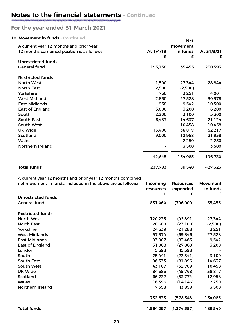#### **For the year ended 31 March 2021**

#### **19. Movement in funds - Continued**

| 19. Movement in funds - Continued          |           | <b>Net</b> |            |
|--------------------------------------------|-----------|------------|------------|
| A current year 12 months and prior year    |           | movement   |            |
| 12 months combined position is as follows: | At 1/4/19 | in funds   | At 31/3/21 |
|                                            | £         | £          | £          |
| <b>Unrestricted funds</b>                  |           |            |            |
| <b>General fund</b>                        | 195,138   | 35,455     | 230,593    |
| <b>Restricted funds</b>                    |           |            |            |
| <b>North West</b>                          | 1,500     | 27,344     | 28,844     |
| <b>North East</b>                          | 2,500     | (2,500)    |            |
| Yorkshire                                  | 750       | 3,251      | 4,001      |
| <b>West Midlands</b>                       | 2,850     | 27,528     | 30,378     |
| <b>East Midlands</b>                       | 958       | 9,542      | 10,500     |
| <b>East of England</b>                     | 3,000     | 3,200      | 6,200      |
| South                                      | 2,200     | 3,100      | 5,300      |
| <b>South East</b>                          | 6,487     | 14,637     | 21,124     |
| South West                                 |           | 10,458     | 10,458     |
| <b>UK Wide</b>                             | 13,400    | 38,817     | 52,217     |
| Scotland                                   | 9,000     | 12,958     | 21,958     |
| <b>Wales</b>                               |           | 2,250      | 2,250      |
| Northern Ireland                           |           | 3,500      | 3,500      |
|                                            | 42,645    | 154,085    | 196,730    |
| <b>Total funds</b>                         | 237,783   | 189,540    | 427,323    |

A current year 12 months and prior year 12 months combined

| net movement in funds, included in the above are as follows: | Incoming<br>resources | <b>Resources</b><br>expended | <b>Movement</b><br>in funds |
|--------------------------------------------------------------|-----------------------|------------------------------|-----------------------------|
| <b>Unrestricted funds</b>                                    | £                     | £                            | £                           |
| <b>General fund</b>                                          | 831,464               | (796,009)                    | 35,455                      |
| <b>Restricted funds</b>                                      |                       |                              |                             |
| <b>North West</b>                                            | 120,235               | (92, 891)                    | 27,344                      |
| <b>North East</b>                                            | 20,600                | (23,100)                     | (2,500)                     |
| Yorkshire                                                    | 24,539                | (21, 288)                    | 3,251                       |
| <b>West Midlands</b>                                         | 97,374                | (69, 846)                    | 27,528                      |
| <b>East Midlands</b>                                         | 93,007                | (83, 465)                    | 9,542                       |
| <b>East of England</b>                                       | 31,068                | (27, 868)                    | 3,200                       |
| London                                                       | 5,598                 | (5,598)                      |                             |
| South                                                        | 25,441                | (22, 341)                    | 3,100                       |
| <b>South East</b>                                            | 96,533                | (81,896)                     | 14,637                      |
| South West                                                   | 43,167                | (32,709)                     | 10,458                      |
| <b>UK Wide</b>                                               | 84,585                | (45, 768)                    | 38,817                      |
| Scotland                                                     | 66,732                | (53, 774)                    | 12,958                      |
| <b>Wales</b>                                                 | 16,396                | (14, 146)                    | 2,250                       |
| Northern Ireland                                             | 7,358                 | (3,858)                      | 3,500                       |
|                                                              | 732,633               | (578, 548)                   | 154,085                     |
| <b>Total funds</b>                                           | 1,564,097             | (1,374,557)                  | 189,540                     |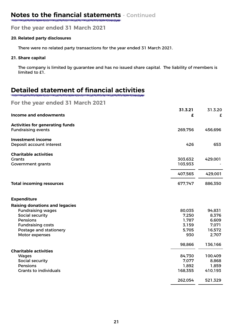**For the year ended 31 March 2021**

#### **20. Related party disclosures**

There were no related party transactions for the year ended 31 March 2021.

#### **21. Share capital**

The company is limited by guarantee and has no issued share capital. The liability of members is limited to £1.

### **Detailed statement of financial activities**

**For the year ended 31 March 2021**

| <b>Income and endowments</b>                                              | 31.3.21<br>£       | 31.3.20<br>£     |
|---------------------------------------------------------------------------|--------------------|------------------|
| <b>Activities for generating funds</b><br><b>Fundraising events</b>       | 269,756            | 456,696          |
| <b>Investment income</b><br>Deposit account interest                      | 426                | 653              |
| <b>Charitable activities</b><br><b>Grants</b><br><b>Government grants</b> | 303,632<br>103,933 | 429,001          |
|                                                                           | 407,565            | 429,001          |
| <b>Total incoming resources</b>                                           | 677,747            | 886,350          |
| <b>Expenditure</b>                                                        |                    |                  |
| <b>Raising donations and legacies</b>                                     |                    |                  |
| <b>Fundraising wages</b>                                                  | 80,035             | 94,831           |
| Social security<br>Pensions                                               | 7,250<br>1,787     | 8,376<br>6,609   |
| <b>Fundraising costs</b>                                                  | 3,159              | 7,071            |
| Postage and stationery                                                    | 5,705              | 16,572           |
| Motor expenses                                                            | 930                | 2,707            |
|                                                                           | 98,866             | 136,166          |
| <b>Charitable activities</b>                                              |                    |                  |
| Wages                                                                     | 84,730             | 100,409          |
| Social security                                                           | 7,077              | 8,868            |
| Pensions<br><b>Grants to individuals</b>                                  | 1,892<br>168,355   | 1,859<br>410,193 |
|                                                                           | 262,054            | 521,329          |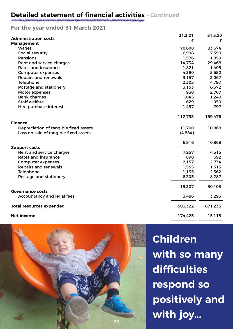#### **Detailed statement of financial activities - Continued**

#### **For the year ended 31 March 2021**

|                                       | 31.3.21 | 31.3.20 |
|---------------------------------------|---------|---------|
| <b>Administration costs</b>           | £       | £       |
| <b>Management</b>                     |         |         |
| <b>Wages</b>                          | 70,608  | 83,674  |
| Social security                       | 6,998   | 7,390   |
| Pensions                              | 1,576   | 1,859   |
| Rent and service charges              | 14,734  | 29,468  |
| <b>Rates and insurance</b>            | 1,821   | 1,405   |
| <b>Computer expenses</b>              | 4,380   | 5,550   |
| <b>Repairs and renewals</b>           | 3,157   | 3,067   |
| Telephone                             | 2,305   | 4,797   |
| Postage and stationery                | 3,153   | 16,572  |
| Motor expenses                        | 930     | 2,707   |
| <b>Bank charges</b>                   | 1,045   | 1,240   |
| <b>Staff welfare</b>                  | 629     | 950     |
| Hire purchase interest                | 1,457   | 797     |
|                                       | 112,793 | 159,476 |
| <b>Finance</b>                        |         |         |
| Depreciation of tangible fixed assets | 11,700  | 10,868  |
| Loss on sale of tangible fixed assets | (4,884) |         |
|                                       | 6,816   | 10,868  |
| <b>Support costs</b>                  |         |         |
| Rent and service charges              | 7,257   | 14,515  |
| <b>Rates and insurance</b>            | 898     | 692     |
| <b>Computer expenses</b>              | 2,157   | 2,734   |
| <b>Repairs and renewals</b>           | 1,555   | 1,513   |
| Telephone                             | 1,135   | 2,362   |
| Postage and stationery                | 6,305   | 8,287   |
|                                       | 19,307  | 30,103  |
| <b>Governance costs</b>               |         |         |
| Accountancy and legal fees            | 3,486   | 13,293  |
| <b>Total resources expended</b>       | 503,322 | 871,235 |
| <b>Net income</b>                     | 174,425 | 15,115  |
|                                       |         |         |



**Children with so many difficulties respond so positively and with joy...**